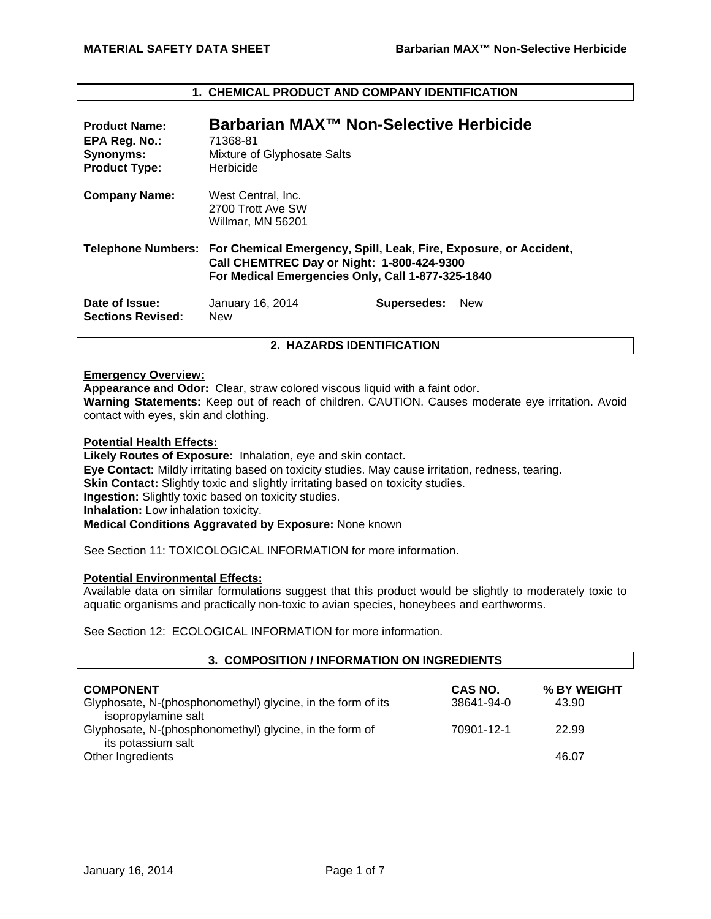| <b>Product Name:</b><br>EPA Reg. No.:<br><b>Synonyms:</b><br><b>Product Type:</b> | Barbarian MAX™ Non-Selective Herbicide<br>71368-81<br>Mixture of Glyphosate Salts<br>Herbicide                                                                                          |             |            |
|-----------------------------------------------------------------------------------|-----------------------------------------------------------------------------------------------------------------------------------------------------------------------------------------|-------------|------------|
| <b>Company Name:</b>                                                              | West Central, Inc.<br>2700 Trott Ave SW<br>Willmar, MN 56201                                                                                                                            |             |            |
|                                                                                   | Telephone Numbers: For Chemical Emergency, Spill, Leak, Fire, Exposure, or Accident,<br>Call CHEMTREC Day or Night: 1-800-424-9300<br>For Medical Emergencies Only, Call 1-877-325-1840 |             |            |
| Date of Issue:<br><b>Sections Revised:</b>                                        | January 16, 2014<br><b>New</b>                                                                                                                                                          | Supersedes: | <b>New</b> |
| 2. HAZARDS IDENTIFICATION                                                         |                                                                                                                                                                                         |             |            |

# **1. CHEMICAL PRODUCT AND COMPANY IDENTIFICATION**

# **Emergency Overview:**

**Appearance and Odor:** Clear, straw colored viscous liquid with a faint odor. **Warning Statements:** Keep out of reach of children. CAUTION. Causes moderate eye irritation. Avoid contact with eyes, skin and clothing.

## **Potential Health Effects:**

**Likely Routes of Exposure:** Inhalation, eye and skin contact. **Eye Contact:** Mildly irritating based on toxicity studies. May cause irritation, redness, tearing. **Skin Contact:** Slightly toxic and slightly irritating based on toxicity studies. **Ingestion:** Slightly toxic based on toxicity studies. **Inhalation:** Low inhalation toxicity. **Medical Conditions Aggravated by Exposure:** None known

See Section 11: TOXICOLOGICAL INFORMATION for more information.

# **Potential Environmental Effects:**

Available data on similar formulations suggest that this product would be slightly to moderately toxic to aquatic organisms and practically non-toxic to avian species, honeybees and earthworms.

See Section 12: ECOLOGICAL INFORMATION for more information.

| 3. COMPOSITION / INFORMATION ON INGREDIENTS                                        |            |             |  |  |  |  |
|------------------------------------------------------------------------------------|------------|-------------|--|--|--|--|
| <b>COMPONENT</b>                                                                   | CAS NO.    | % BY WEIGHT |  |  |  |  |
| Glyphosate, N-(phosphonomethyl) glycine, in the form of its<br>isopropylamine salt | 38641-94-0 | 43.90       |  |  |  |  |
| Glyphosate, N-(phosphonomethyl) glycine, in the form of<br>its potassium salt      | 70901-12-1 | 22.99       |  |  |  |  |
| Other Ingredients                                                                  |            | 46.07       |  |  |  |  |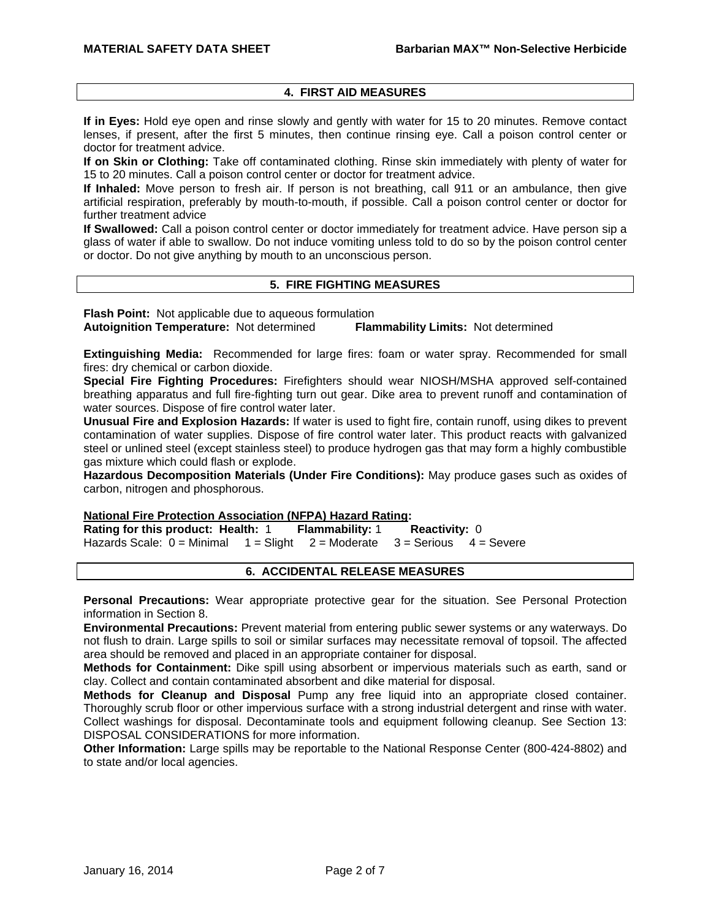# **4. FIRST AID MEASURES**

**If in Eyes:** Hold eye open and rinse slowly and gently with water for 15 to 20 minutes. Remove contact lenses, if present, after the first 5 minutes, then continue rinsing eye. Call a poison control center or doctor for treatment advice.

**If on Skin or Clothing:** Take off contaminated clothing. Rinse skin immediately with plenty of water for 15 to 20 minutes. Call a poison control center or doctor for treatment advice.

**If Inhaled:** Move person to fresh air. If person is not breathing, call 911 or an ambulance, then give artificial respiration, preferably by mouth-to-mouth, if possible. Call a poison control center or doctor for further treatment advice

**If Swallowed:** Call a poison control center or doctor immediately for treatment advice. Have person sip a glass of water if able to swallow. Do not induce vomiting unless told to do so by the poison control center or doctor. Do not give anything by mouth to an unconscious person.

# **5. FIRE FIGHTING MEASURES**

**Flash Point:** Not applicable due to aqueous formulation **Autoignition Temperature:** Not determined **Flammability Limits:** Not determined

**Extinguishing Media:** Recommended for large fires: foam or water spray. Recommended for small fires: dry chemical or carbon dioxide.

**Special Fire Fighting Procedures:** Firefighters should wear NIOSH/MSHA approved self-contained breathing apparatus and full fire-fighting turn out gear. Dike area to prevent runoff and contamination of water sources. Dispose of fire control water later.

**Unusual Fire and Explosion Hazards:** If water is used to fight fire, contain runoff, using dikes to prevent contamination of water supplies. Dispose of fire control water later. This product reacts with galvanized steel or unlined steel (except stainless steel) to produce hydrogen gas that may form a highly combustible gas mixture which could flash or explode.

**Hazardous Decomposition Materials (Under Fire Conditions):** May produce gases such as oxides of carbon, nitrogen and phosphorous.

### **National Fire Protection Association (NFPA) Hazard Rating:**

**Rating for this product: Health:** 1 **Flammability:** 1 **Reactivity:** 0 Hazards Scale:  $0 =$  Minimal  $1 =$  Slight  $2 =$  Moderate  $3 =$  Serious  $4 =$  Severe

### **6. ACCIDENTAL RELEASE MEASURES**

**Personal Precautions:** Wear appropriate protective gear for the situation. See Personal Protection information in Section 8.

**Environmental Precautions:** Prevent material from entering public sewer systems or any waterways. Do not flush to drain. Large spills to soil or similar surfaces may necessitate removal of topsoil. The affected area should be removed and placed in an appropriate container for disposal.

**Methods for Containment:** Dike spill using absorbent or impervious materials such as earth, sand or clay. Collect and contain contaminated absorbent and dike material for disposal.

**Methods for Cleanup and Disposal** Pump any free liquid into an appropriate closed container. Thoroughly scrub floor or other impervious surface with a strong industrial detergent and rinse with water. Collect washings for disposal. Decontaminate tools and equipment following cleanup. See Section 13: DISPOSAL CONSIDERATIONS for more information.

**Other Information:** Large spills may be reportable to the National Response Center (800-424-8802) and to state and/or local agencies.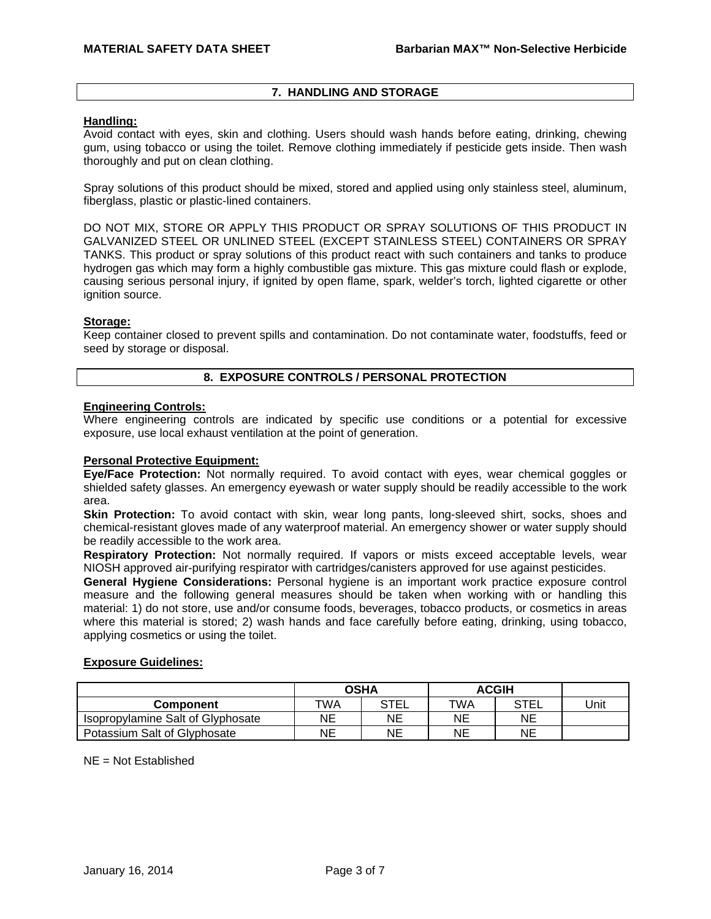# **7. HANDLING AND STORAGE**

### **Handling:**

Avoid contact with eyes, skin and clothing. Users should wash hands before eating, drinking, chewing gum, using tobacco or using the toilet. Remove clothing immediately if pesticide gets inside. Then wash thoroughly and put on clean clothing.

Spray solutions of this product should be mixed, stored and applied using only stainless steel, aluminum, fiberglass, plastic or plastic-lined containers.

DO NOT MIX, STORE OR APPLY THIS PRODUCT OR SPRAY SOLUTIONS OF THIS PRODUCT IN GALVANIZED STEEL OR UNLINED STEEL (EXCEPT STAINLESS STEEL) CONTAINERS OR SPRAY TANKS. This product or spray solutions of this product react with such containers and tanks to produce hydrogen gas which may form a highly combustible gas mixture. This gas mixture could flash or explode, causing serious personal injury, if ignited by open flame, spark, welder's torch, lighted cigarette or other ignition source.

## **Storage:**

Keep container closed to prevent spills and contamination. Do not contaminate water, foodstuffs, feed or seed by storage or disposal.

# **8. EXPOSURE CONTROLS / PERSONAL PROTECTION**

## **Engineering Controls:**

Where engineering controls are indicated by specific use conditions or a potential for excessive exposure, use local exhaust ventilation at the point of generation.

### **Personal Protective Equipment:**

**Eye/Face Protection:** Not normally required. To avoid contact with eyes, wear chemical goggles or shielded safety glasses. An emergency eyewash or water supply should be readily accessible to the work area.

**Skin Protection:** To avoid contact with skin, wear long pants, long-sleeved shirt, socks, shoes and chemical-resistant gloves made of any waterproof material. An emergency shower or water supply should be readily accessible to the work area.

**Respiratory Protection:** Not normally required. If vapors or mists exceed acceptable levels, wear NIOSH approved air-purifying respirator with cartridges/canisters approved for use against pesticides.

**General Hygiene Considerations:** Personal hygiene is an important work practice exposure control measure and the following general measures should be taken when working with or handling this material: 1) do not store, use and/or consume foods, beverages, tobacco products, or cosmetics in areas where this material is stored; 2) wash hands and face carefully before eating, drinking, using tobacco, applying cosmetics or using the toilet.

### **Exposure Guidelines:**

|                                   | <b>OSHA</b> |             | <b>ACGIH</b> |             |      |
|-----------------------------------|-------------|-------------|--------------|-------------|------|
| Component                         | "WA         | <b>STEL</b> | TWA          | <b>STEL</b> | Unit |
| Isopropylamine Salt of Glyphosate | NΕ          | NE          | ΝE           | NE          |      |
| Potassium Salt of Glyphosate      | NΕ          | NE          | ΝE           | NΕ          |      |

# $NE = Not$  Established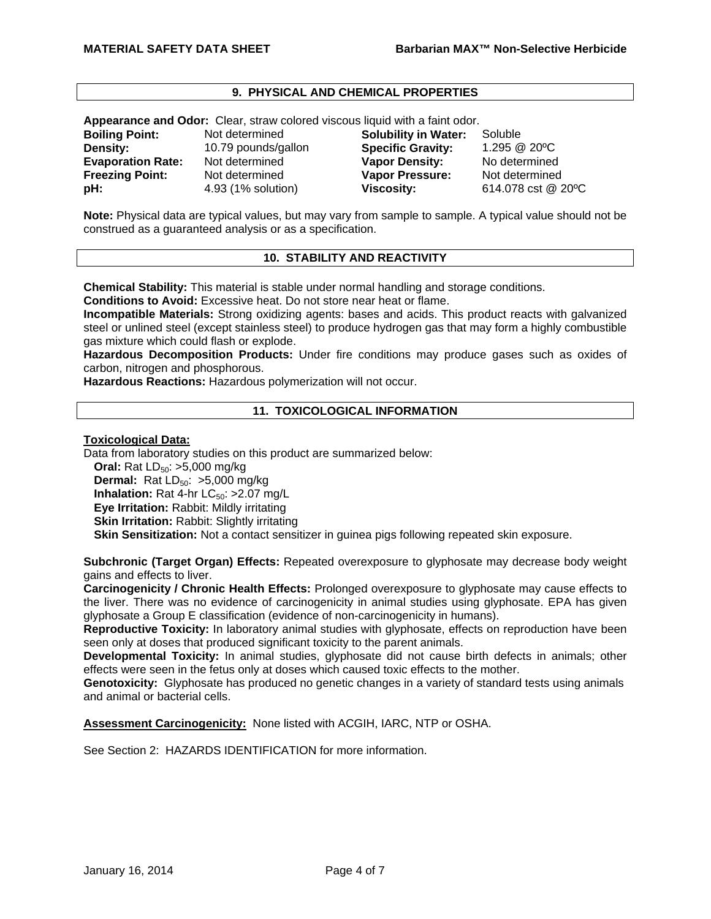# **9. PHYSICAL AND CHEMICAL PROPERTIES**

**Appearance and Odor:** Clear, straw colored viscous liquid with a faint odor.

| <b>Boiling Point:</b>    |
|--------------------------|
| Density:                 |
| <b>Evaporation Rate:</b> |
| <b>Freezing Point:</b>   |
| pH:                      |

Not determined **Solubility in Water:** Soluble **Density:** 10.79 pounds/gallon **Specific Gravity:** 1.295 @ 20ºC **Vapor Density:** No determined **Freezure:** Not determined **Vapor Pressure:** Not determined **pH:** 4.93 (1% solution) **Viscosity:** 614.078 cst @ 20ºC

**Note:** Physical data are typical values, but may vary from sample to sample. A typical value should not be construed as a guaranteed analysis or as a specification.

## **10. STABILITY AND REACTIVITY**

**Chemical Stability:** This material is stable under normal handling and storage conditions.

**Conditions to Avoid:** Excessive heat. Do not store near heat or flame.

**Incompatible Materials:** Strong oxidizing agents: bases and acids. This product reacts with galvanized steel or unlined steel (except stainless steel) to produce hydrogen gas that may form a highly combustible gas mixture which could flash or explode.

**Hazardous Decomposition Products:** Under fire conditions may produce gases such as oxides of carbon, nitrogen and phosphorous.

**Hazardous Reactions:** Hazardous polymerization will not occur.

## **11. TOXICOLOGICAL INFORMATION**

**Toxicological Data:**

Data from laboratory studies on this product are summarized below:

**Oral:** Rat LD<sub>50</sub>: >5,000 mg/kg **Dermal:** Rat  $LD_{50}$ :  $>5,000$  mg/kg **Inhalation:** Rat 4-hr  $LC_{50}$ :  $>2.07$  mg/L

**Eye Irritation:** Rabbit: Mildly irritating

**Skin Irritation: Rabbit: Slightly irritating** 

**Skin Sensitization:** Not a contact sensitizer in guinea pigs following repeated skin exposure.

**Subchronic (Target Organ) Effects:** Repeated overexposure to glyphosate may decrease body weight gains and effects to liver.

**Carcinogenicity / Chronic Health Effects:** Prolonged overexposure to glyphosate may cause effects to the liver. There was no evidence of carcinogenicity in animal studies using glyphosate. EPA has given glyphosate a Group E classification (evidence of non-carcinogenicity in humans).

**Reproductive Toxicity:** In laboratory animal studies with glyphosate, effects on reproduction have been seen only at doses that produced significant toxicity to the parent animals.

**Developmental Toxicity:** In animal studies, glyphosate did not cause birth defects in animals; other effects were seen in the fetus only at doses which caused toxic effects to the mother.

**Genotoxicity:** Glyphosate has produced no genetic changes in a variety of standard tests using animals and animal or bacterial cells.

**Assessment Carcinogenicity:** None listed with ACGIH, IARC, NTP or OSHA.

See Section 2: HAZARDS IDENTIFICATION for more information.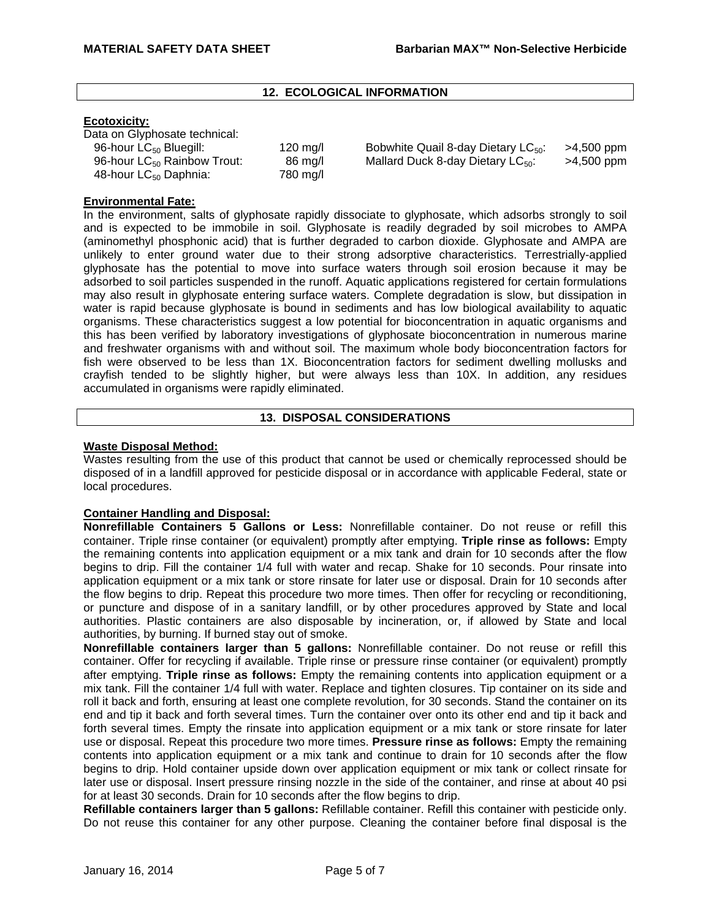# **12. ECOLOGICAL INFORMATION**

## **Ecotoxicity:**

| Data on Glyphosate technical:           |          |
|-----------------------------------------|----------|
| 96-hour LC <sub>50</sub> Bluegill:      | 120 mg/l |
| 96-hour LC <sub>50</sub> Rainbow Trout: | 86 mg/l  |
| 48-hour LC <sub>50</sub> Daphnia:       | 780 mg/l |

g/l Bobwhite Quail 8-day Dietary LC<sub>50</sub>:  $\geq$ 4,500 ppm<br>g/l Mallard Duck 8-day Dietary LC<sub>50</sub>:  $\geq$ 4,500 ppm Mallard Duck 8-day Dietary LC $_{50}$ :

# **Environmental Fate:**

In the environment, salts of glyphosate rapidly dissociate to glyphosate, which adsorbs strongly to soil and is expected to be immobile in soil. Glyphosate is readily degraded by soil microbes to AMPA (aminomethyl phosphonic acid) that is further degraded to carbon dioxide. Glyphosate and AMPA are unlikely to enter ground water due to their strong adsorptive characteristics. Terrestrially-applied glyphosate has the potential to move into surface waters through soil erosion because it may be adsorbed to soil particles suspended in the runoff. Aquatic applications registered for certain formulations may also result in glyphosate entering surface waters. Complete degradation is slow, but dissipation in water is rapid because glyphosate is bound in sediments and has low biological availability to aquatic organisms. These characteristics suggest a low potential for bioconcentration in aquatic organisms and this has been verified by laboratory investigations of glyphosate bioconcentration in numerous marine and freshwater organisms with and without soil. The maximum whole body bioconcentration factors for fish were observed to be less than 1X. Bioconcentration factors for sediment dwelling mollusks and crayfish tended to be slightly higher, but were always less than 10X. In addition, any residues accumulated in organisms were rapidly eliminated.

# **13. DISPOSAL CONSIDERATIONS**

## **Waste Disposal Method:**

Wastes resulting from the use of this product that cannot be used or chemically reprocessed should be disposed of in a landfill approved for pesticide disposal or in accordance with applicable Federal, state or local procedures.

# **Container Handling and Disposal:**

**Nonrefillable Containers 5 Gallons or Less:** Nonrefillable container. Do not reuse or refill this container. Triple rinse container (or equivalent) promptly after emptying. **Triple rinse as follows:** Empty the remaining contents into application equipment or a mix tank and drain for 10 seconds after the flow begins to drip. Fill the container 1/4 full with water and recap. Shake for 10 seconds. Pour rinsate into application equipment or a mix tank or store rinsate for later use or disposal. Drain for 10 seconds after the flow begins to drip. Repeat this procedure two more times. Then offer for recycling or reconditioning, or puncture and dispose of in a sanitary landfill, or by other procedures approved by State and local authorities. Plastic containers are also disposable by incineration, or, if allowed by State and local authorities, by burning. If burned stay out of smoke.

**Nonrefillable containers larger than 5 gallons:** Nonrefillable container. Do not reuse or refill this container. Offer for recycling if available. Triple rinse or pressure rinse container (or equivalent) promptly after emptying. **Triple rinse as follows:** Empty the remaining contents into application equipment or a mix tank. Fill the container 1/4 full with water. Replace and tighten closures. Tip container on its side and roll it back and forth, ensuring at least one complete revolution, for 30 seconds. Stand the container on its end and tip it back and forth several times. Turn the container over onto its other end and tip it back and forth several times. Empty the rinsate into application equipment or a mix tank or store rinsate for later use or disposal. Repeat this procedure two more times. **Pressure rinse as follows:** Empty the remaining contents into application equipment or a mix tank and continue to drain for 10 seconds after the flow begins to drip. Hold container upside down over application equipment or mix tank or collect rinsate for later use or disposal. Insert pressure rinsing nozzle in the side of the container, and rinse at about 40 psi for at least 30 seconds. Drain for 10 seconds after the flow begins to drip.

**Refillable containers larger than 5 gallons:** Refillable container. Refill this container with pesticide only. Do not reuse this container for any other purpose. Cleaning the container before final disposal is the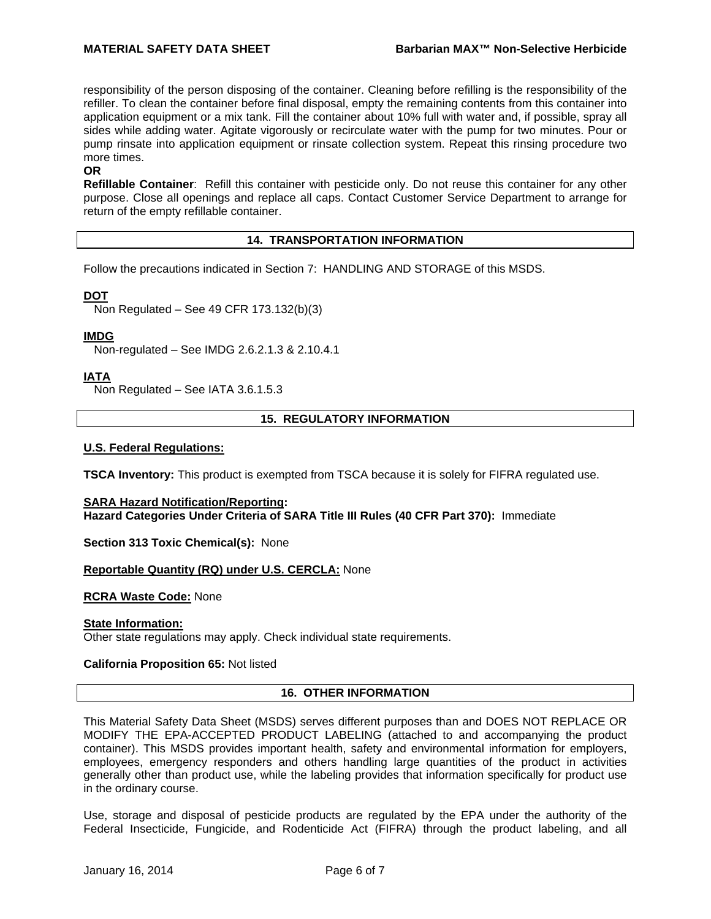responsibility of the person disposing of the container. Cleaning before refilling is the responsibility of the refiller. To clean the container before final disposal, empty the remaining contents from this container into application equipment or a mix tank. Fill the container about 10% full with water and, if possible, spray all sides while adding water. Agitate vigorously or recirculate water with the pump for two minutes. Pour or pump rinsate into application equipment or rinsate collection system. Repeat this rinsing procedure two more times.

### **OR**

**Refillable Container**: Refill this container with pesticide only. Do not reuse this container for any other purpose. Close all openings and replace all caps. Contact Customer Service Department to arrange for return of the empty refillable container.

# **14. TRANSPORTATION INFORMATION**

Follow the precautions indicated in Section 7: HANDLING AND STORAGE of this MSDS.

# **DOT**

Non Regulated – See 49 CFR 173.132(b)(3)

## **IMDG**

Non-regulated – See IMDG 2.6.2.1.3 & 2.10.4.1

# **IATA**

Non Regulated – See IATA 3.6.1.5.3

## **15. REGULATORY INFORMATION**

## **U.S. Federal Regulations:**

**TSCA Inventory:** This product is exempted from TSCA because it is solely for FIFRA regulated use.

### **SARA Hazard Notification/Reporting: Hazard Categories Under Criteria of SARA Title III Rules (40 CFR Part 370):** Immediate

**Section 313 Toxic Chemical(s):** None

### **Reportable Quantity (RQ) under U.S. CERCLA:** None

### **RCRA Waste Code:** None

### **State Information:**

Other state regulations may apply. Check individual state requirements.

### **California Proposition 65:** Not listed

## **16. OTHER INFORMATION**

This Material Safety Data Sheet (MSDS) serves different purposes than and DOES NOT REPLACE OR MODIFY THE EPA-ACCEPTED PRODUCT LABELING (attached to and accompanying the product container). This MSDS provides important health, safety and environmental information for employers, employees, emergency responders and others handling large quantities of the product in activities generally other than product use, while the labeling provides that information specifically for product use in the ordinary course.

Use, storage and disposal of pesticide products are regulated by the EPA under the authority of the Federal Insecticide, Fungicide, and Rodenticide Act (FIFRA) through the product labeling, and all